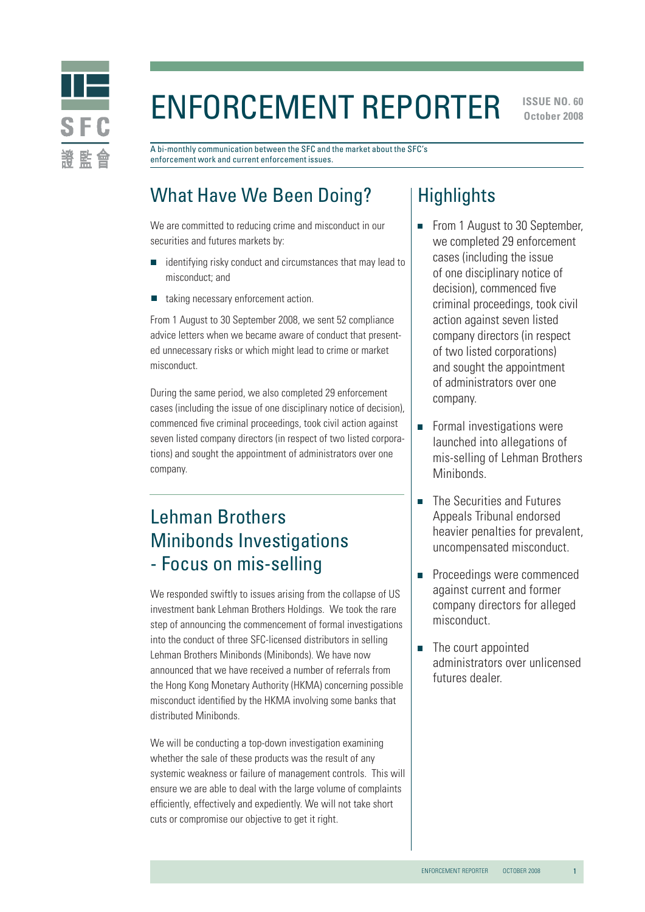

# Enforcement Reporter

**ISSUE NO. 60 October 2008** 

A bi-monthly communication between the SFC and the market about the SFC's enforcement work and current enforcement issues.

# What Have We Been Doing?

We are committed to reducing crime and misconduct in our securities and futures markets by:

- identifying risky conduct and circumstances that may lead to misconduct; and
- taking necessary enforcement action.

From 1 August to 30 September 2008, we sent 52 compliance advice letters when we became aware of conduct that presented unnecessary risks or which might lead to crime or market misconduct.

During the same period, we also completed 29 enforcement cases (including the issue of one disciplinary notice of decision), commenced five criminal proceedings, took civil action against seven listed company directors (in respect of two listed corporations) and sought the appointment of administrators over one company.

# Lehman Brothers Minibonds Investigations - Focus on mis-selling

We responded swiftly to issues arising from the collapse of US investment bank Lehman Brothers Holdings. We took the rare step of announcing the commencement of formal investigations into the conduct of three SFC-licensed distributors in selling Lehman Brothers Minibonds (Minibonds). We have now announced that we have received a number of referrals from the Hong Kong Monetary Authority (HKMA) concerning possible misconduct identified by the HKMA involving some banks that distributed Minibonds.

We will be conducting a top-down investigation examining whether the sale of these products was the result of any systemic weakness or failure of management controls. This will ensure we are able to deal with the large volume of complaints efficiently, effectively and expediently. We will not take short cuts or compromise our objective to get it right.

# **Highlights**

- From 1 August to 30 September, we completed 29 enforcement cases (including the issue of one disciplinary notice of decision), commenced five criminal proceedings, took civil action against seven listed company directors (in respect of two listed corporations) and sought the appointment of administrators over one company.
- **Formal investigations were** launched into allegations of mis-selling of Lehman Brothers Minibonds.
- The Securities and Futures  $\overline{\phantom{a}}$ Appeals Tribunal endorsed heavier penalties for prevalent, uncompensated misconduct.
- $\overline{\phantom{a}}$ Proceedings were commenced against current and former company directors for alleged misconduct.
- The court appointed administrators over unlicensed futures dealer.

1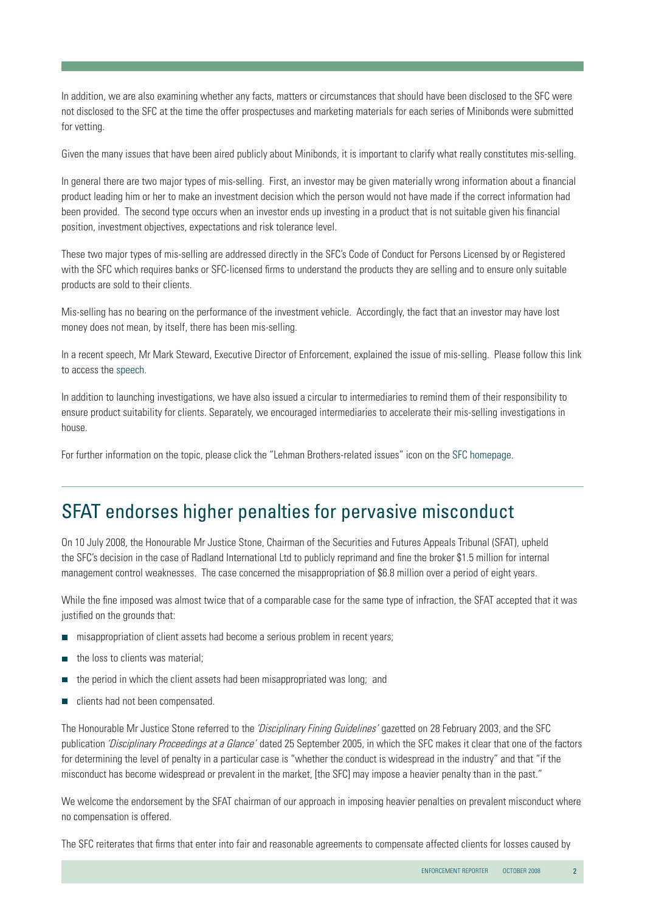In addition, we are also examining whether any facts, matters or circumstances that should have been disclosed to the SFC were not disclosed to the SFC at the time the offer prospectuses and marketing materials for each series of Minibonds were submitted for vetting.

Given the many issues that have been aired publicly about Minibonds, it is important to clarify what really constitutes mis-selling.

In general there are two major types of mis-selling. First, an investor may be given materially wrong information about a financial product leading him or her to make an investment decision which the person would not have made if the correct information had been provided. The second type occurs when an investor ends up investing in a product that is not suitable given his financial position, investment objectives, expectations and risk tolerance level.

These two major types of mis-selling are addressed directly in the SFC's Code of Conduct for Persons Licensed by or Registered with the SFC which requires banks or SFC-licensed firms to understand the products they are selling and to ensure only suitable products are sold to their clients.

Mis-selling has no bearing on the performance of the investment vehicle. Accordingly, the fact that an investor may have lost money does not mean, by itself, there has been mis-selling.

In a recent speech, Mr Mark Steward, Executive Director of Enforcement, explained the issue of mis-selling. Please follow this link to access the [speech.](http://www.sfc.hk/sfc/doc/EN/speeches/speeches/08/ms_20081023_wmc.pdf)

In addition to launching investigations, we have also issued a circular to intermediaries to remind them of their responsibility to ensure product suitability for clients. Separately, we encouraged intermediaries to accelerate their mis-selling investigations in house.

For further information on the topic, please click the "Lehman Brothers-related issues" icon on the [SFC homepage.](http://www.sfc.hk/sfc/html/EN/)

### SFAT endorses higher penalties for pervasive misconduct

On 10 July 2008, the Honourable Mr Justice Stone, Chairman of the Securities and Futures Appeals Tribunal (SFAT), upheld the SFC's decision in the case of Radland International Ltd to publicly reprimand and fine the broker \$1.5 million for internal management control weaknesses. The case concerned the misappropriation of \$6.8 million over a period of eight years.

While the fine imposed was almost twice that of a comparable case for the same type of infraction, the SFAT accepted that it was justified on the grounds that:

- misappropriation of client assets had become a serious problem in recent years;
- the loss to clients was material;
- $\mathcal{L}_{\mathcal{A}}$ the period in which the client assets had been misappropriated was long; and
- clients had not been compensated.  $\mathcal{L}_{\mathcal{A}}$

The Honourable Mr Justice Stone referred to the 'Disciplinary Fining Guidelines' gazetted on 28 February 2003, and the SFC publication 'Disciplinary Proceedings at a Glance' dated 25 September 2005, in which the SFC makes it clear that one of the factors for determining the level of penalty in a particular case is "whether the conduct is widespread in the industry" and that "if the misconduct has become widespread or prevalent in the market, [the SFC] may impose a heavier penalty than in the past."

We welcome the endorsement by the SFAT chairman of our approach in imposing heavier penalties on prevalent misconduct where no compensation is offered.

The SFC reiterates that firms that enter into fair and reasonable agreements to compensate affected clients for losses caused by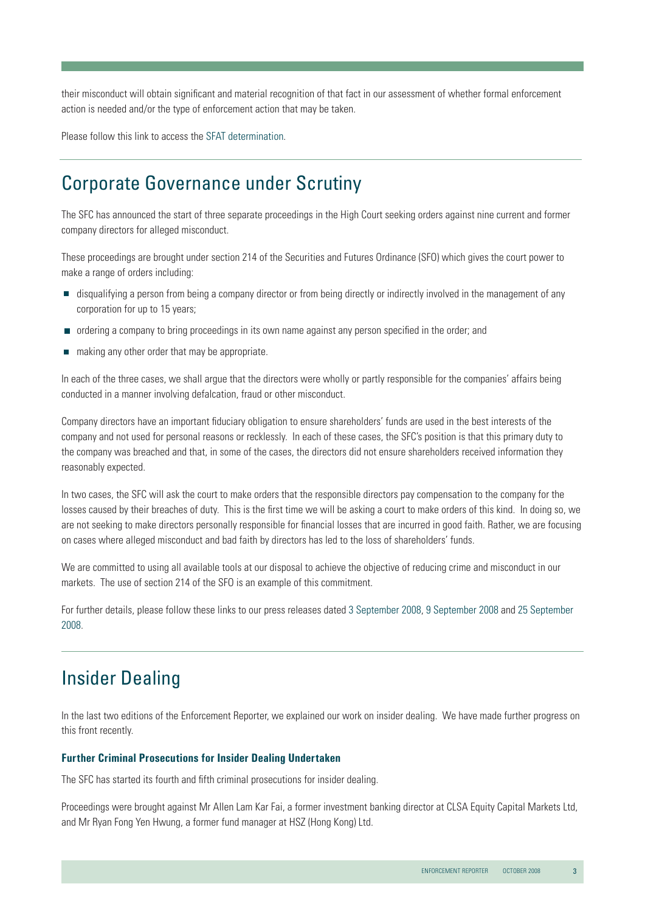their misconduct will obtain significant and material recognition of that fact in our assessment of whether formal enforcement action is needed and/or the type of enforcement action that may be taken.

Please follow this link to access th[e SFAT determination.](http://www.sfat.gov.hk/english/determination/index.htm)

### Corporate Governance under Scrutiny

The SFC has announced the start of three separate proceedings in the High Court seeking orders against nine current and former company directors for alleged misconduct.

These proceedings are brought under section 214 of the Securities and Futures Ordinance (SFO) which gives the court power to make a range of orders including:

- disqualifying a person from being a company director or from being directly or indirectly involved in the management of any corporation for up to 15 years;
- ordering a company to bring proceedings in its own name against any person specified in the order; and
- making any other order that may be appropriate.

In each of the three cases, we shall argue that the directors were wholly or partly responsible for the companies' affairs being conducted in a manner involving defalcation, fraud or other misconduct.

Company directors have an important fiduciary obligation to ensure shareholders' funds are used in the best interests of the company and not used for personal reasons or recklessly. In each of these cases, the SFC's position is that this primary duty to the company was breached and that, in some of the cases, the directors did not ensure shareholders received information they reasonably expected.

In two cases, the SFC will ask the court to make orders that the responsible directors pay compensation to the company for the losses caused by their breaches of duty. This is the first time we will be asking a court to make orders of this kind. In doing so, we are not seeking to make directors personally responsible for financial losses that are incurred in good faith. Rather, we are focusing on cases where alleged misconduct and bad faith by directors has led to the loss of shareholders' funds.

We are committed to using all available tools at our disposal to achieve the objective of reducing crime and misconduct in our markets. The use of section 214 of the SFO is an example of this commitment.

For further details, please follow these links to our press releases date[d 3 September 2008,](http://www.sfc.hk/sfcPressRelease/EN/sfcOpenDocServlet?docno=08PR132) [9 September 2008](http://www.sfc.hk/sfcPressRelease/EN/sfcOpenDocServlet?docno=08PR136) and [25 September](http://www.sfc.hk/sfcPressRelease/EN/sfcOpenDocServlet?docno=08PR153)  [2008.](http://www.sfc.hk/sfcPressRelease/EN/sfcOpenDocServlet?docno=08PR153)

# Insider Dealing

In the last two editions of the Enforcement Reporter, we explained our work on insider dealing. We have made further progress on this front recently.

#### **Further Criminal Prosecutions for Insider Dealing Undertaken**

The SFC has started its fourth and fifth criminal prosecutions for insider dealing.

Proceedings were brought against Mr Allen Lam Kar Fai, a former investment banking director at CLSA Equity Capital Markets Ltd, and Mr Ryan Fong Yen Hwung, a former fund manager at HSZ (Hong Kong) Ltd.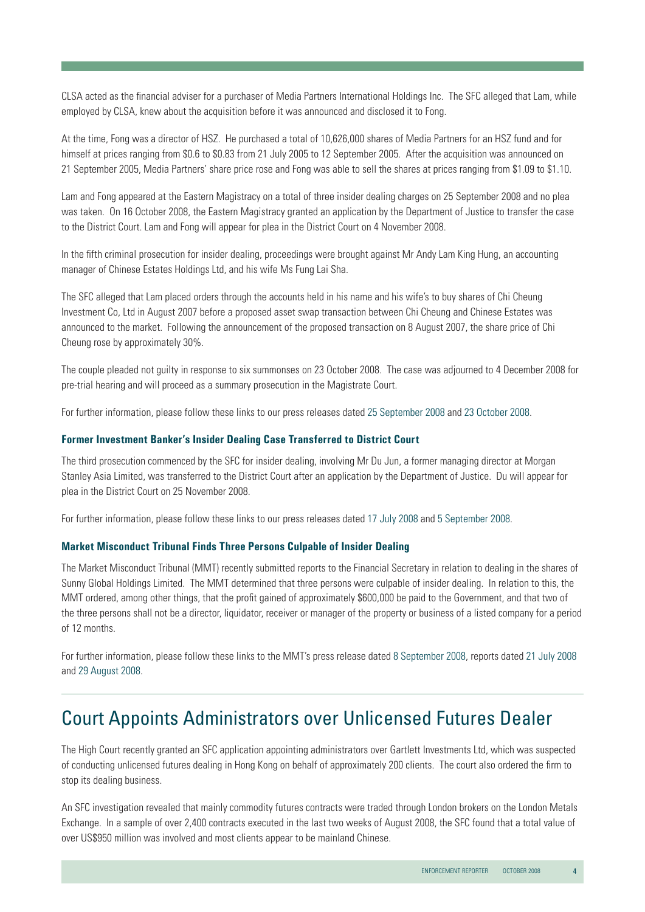CLSA acted as the financial adviser for a purchaser of Media Partners International Holdings Inc. The SFC alleged that Lam, while employed by CLSA, knew about the acquisition before it was announced and disclosed it to Fong.

At the time, Fong was a director of HSZ. He purchased a total of 10,626,000 shares of Media Partners for an HSZ fund and for himself at prices ranging from \$0.6 to \$0.83 from 21 July 2005 to 12 September 2005. After the acquisition was announced on 21 September 2005, Media Partners' share price rose and Fong was able to sell the shares at prices ranging from \$1.09 to \$1.10.

Lam and Fong appeared at the Eastern Magistracy on a total of three insider dealing charges on 25 September 2008 and no plea was taken. On 16 October 2008, the Eastern Magistracy granted an application by the Department of Justice to transfer the case to the District Court. Lam and Fong will appear for plea in the District Court on 4 November 2008.

In the fifth criminal prosecution for insider dealing, proceedings were brought against Mr Andy Lam King Hung, an accounting manager of Chinese Estates Holdings Ltd, and his wife Ms Fung Lai Sha.

The SFC alleged that Lam placed orders through the accounts held in his name and his wife's to buy shares of Chi Cheung Investment Co, Ltd in August 2007 before a proposed asset swap transaction between Chi Cheung and Chinese Estates was announced to the market. Following the announcement of the proposed transaction on 8 August 2007, the share price of Chi Cheung rose by approximately 30%.

The couple pleaded not guilty in response to six summonses on 23 October 2008. The case was adjourned to 4 December 2008 for pre-trial hearing and will proceed as a summary prosecution in the Magistrate Court.

For further information, please follow these links to our press releases dated [25 September 2008](http://www.sfc.hk/sfcPressRelease/EN/sfcOpenDocServlet?docno=08PR152) and [23 October 2008](http://www.sfc.hk/sfcPressRelease/EN/sfcOpenDocServlet?docno=08PR170).

#### **Former Investment Banker's Insider Dealing Case Transferred to District Court**

The third prosecution commenced by the SFC for insider dealing, involving Mr Du Jun, a former managing director at Morgan Stanley Asia Limited, was transferred to the District Court after an application by the Department of Justice. Du will appear for plea in the District Court on 25 November 2008.

For further information, please follow these links to our press releases dated [17 July 2008](http://www.sfc.hk/sfcPressRelease/EN/sfcOpenDocServlet?docno=08PR110) an[d 5 September 2008.](http://www.sfc.hk/sfcPressRelease/EN/sfcOpenDocServlet?docno=08PR110)

#### **Market Misconduct Tribunal Finds Three Persons Culpable of Insider Dealing**

The Market Misconduct Tribunal (MMT) recently submitted reports to the Financial Secretary in relation to dealing in the shares of Sunny Global Holdings Limited. The MMT determined that three persons were culpable of insider dealing. In relation to this, the MMT ordered, among other things, that the profit gained of approximately \$600,000 be paid to the Government, and that two of the three persons shall not be a director, liquidator, receiver or manager of the property or business of a listed company for a period of 12 months.

For further information, please follow these links to the MMT's press release date[d 8 September 2008,](http://www.mmt.gov.hk/eng/press/doc/pr080908_e.doc) reports dated [21 July 2008](http://www.mmt.gov.hk/eng/reports/Sunny.Global.Holdings.Limited.PartI.Report.pdf)  and [29 August 2008](http://www.mmt.gov.hk/eng/reports/Sunny.Global.Holdings.Limited.PartII.Report.pdf).

# Court Appoints Administrators over Unlicensed Futures Dealer

The High Court recently granted an SFC application appointing administrators over Gartlett Investments Ltd, which was suspected of conducting unlicensed futures dealing in Hong Kong on behalf of approximately 200 clients. The court also ordered the firm to stop its dealing business.

An SFC investigation revealed that mainly commodity futures contracts were traded through London brokers on the London Metals Exchange. In a sample of over 2,400 contracts executed in the last two weeks of August 2008, the SFC found that a total value of over US\$950 million was involved and most clients appear to be mainland Chinese.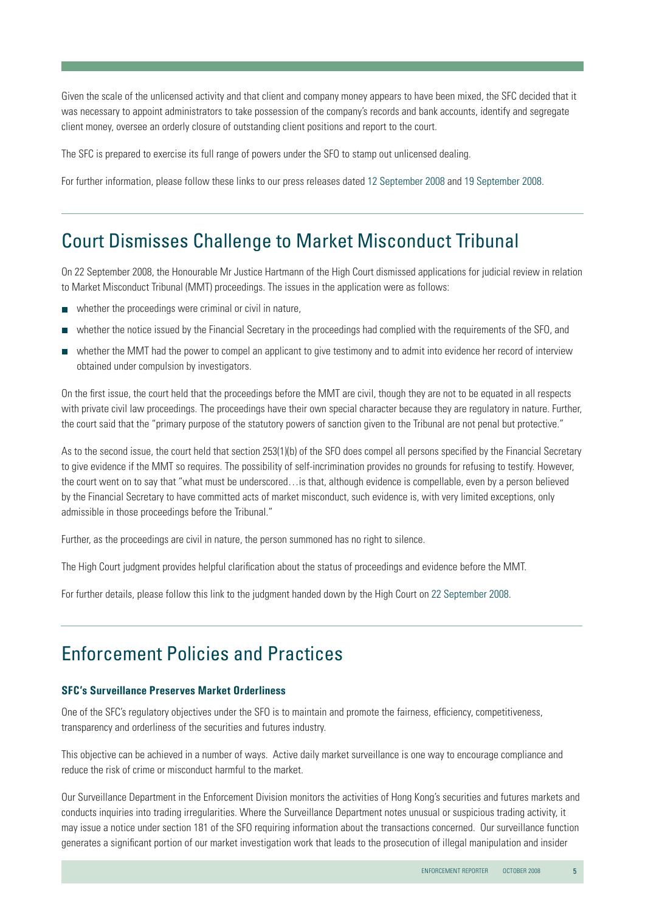Given the scale of the unlicensed activity and that client and company money appears to have been mixed, the SFC decided that it was necessary to appoint administrators to take possession of the company's records and bank accounts, identify and segregate client money, oversee an orderly closure of outstanding client positions and report to the court.

The SFC is prepared to exercise its full range of powers under the SFO to stamp out unlicensed dealing.

For further information, please follow these links to our press releases dated [12 September 2008](http://www.sfc.hk/sfcPressRelease/EN/sfcOpenDocServlet?docno=08PR141) and [19 September 2008.](http://www.sfc.hk/sfcPressRelease/EN/sfcOpenDocServlet?docno=08PR146)

# Court Dismisses Challenge to Market Misconduct Tribunal

On 22 September 2008, the Honourable Mr Justice Hartmann of the High Court dismissed applications for judicial review in relation to Market Misconduct Tribunal (MMT) proceedings. The issues in the application were as follows:

- whether the proceedings were criminal or civil in nature,
- whether the notice issued by the Financial Secretary in the proceedings had complied with the requirements of the SFO, and П
- whether the MMT had the power to compel an applicant to give testimony and to admit into evidence her record of interview obtained under compulsion by investigators.

On the first issue, the court held that the proceedings before the MMT are civil, though they are not to be equated in all respects with private civil law proceedings. The proceedings have their own special character because they are regulatory in nature. Further, the court said that the "primary purpose of the statutory powers of sanction given to the Tribunal are not penal but protective."

As to the second issue, the court held that section 253(1)(b) of the SFO does compel all persons specified by the Financial Secretary to give evidence if the MMT so requires. The possibility of self-incrimination provides no grounds for refusing to testify. However, the court went on to say that "what must be underscored…is that, although evidence is compellable, even by a person believed by the Financial Secretary to have committed acts of market misconduct, such evidence is, with very limited exceptions, only admissible in those proceedings before the Tribunal."

Further, as the proceedings are civil in nature, the person summoned has no right to silence.

The High Court judgment provides helpful clarification about the status of proceedings and evidence before the MMT.

For further details, please follow this link to the judgment handed down by the High Court o[n 22 September 2008.](http://legalref.judiciary.gov.hk/lrs/common/search/search_result_detail_frame.jsp?DIS=62656&QS=%28hartmann%2C22%2Cseptember%29&TP=JU)

# Enforcement Policies and Practices

#### **SFC's Surveillance Preserves Market Orderliness**

One of the SFC's regulatory objectives under the SFO is to maintain and promote the fairness, efficiency, competitiveness, transparency and orderliness of the securities and futures industry.

This objective can be achieved in a number of ways. Active daily market surveillance is one way to encourage compliance and reduce the risk of crime or misconduct harmful to the market.

Our Surveillance Department in the Enforcement Division monitors the activities of Hong Kong's securities and futures markets and conducts inquiries into trading irregularities. Where the Surveillance Department notes unusual or suspicious trading activity, it may issue a notice under section 181 of the SFO requiring information about the transactions concerned. Our surveillance function generates a significant portion of our market investigation work that leads to the prosecution of illegal manipulation and insider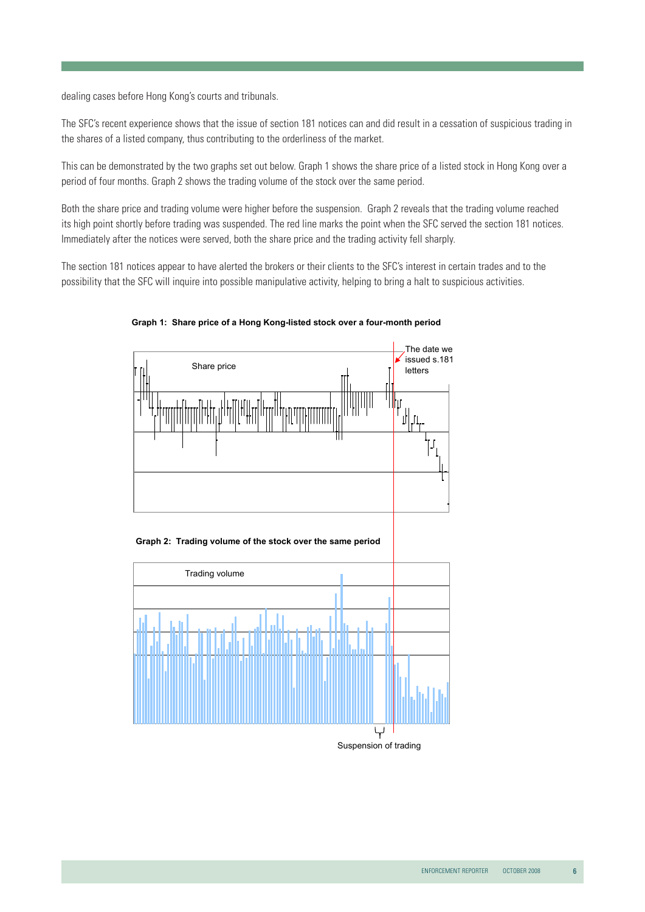dealing cases before Hong Kong's courts and tribunals.

The SFC's recent experience shows that the issue of section 181 notices can and did result in a cessation of suspicious trading in the shares of a listed company, thus contributing to the orderliness of the market.

This can be demonstrated by the two graphs set out below. Graph 1 shows the share price of a listed stock in Hong Kong over a period of four months. Graph 2 shows the trading volume of the stock over the same period.

Both the share price and trading volume were higher before the suspension. Graph 2 reveals that the trading volume reached its high point shortly before trading was suspended. The red line marks the point when the SFC served the section 181 notices. Immediately after the notices were served, both the share price and the trading activity fell sharply.

The section 181 notices appear to have alerted the brokers or their clients to the SFC's interest in certain trades and to the possibility that the SFC will inquire into possible manipulative activity, helping to bring a halt to suspicious activities.



#### **Graph 1: Share price of a Hong Kong-listed stock over a four-month period**

**Graph 2: Trading volume of the stock over the same period**